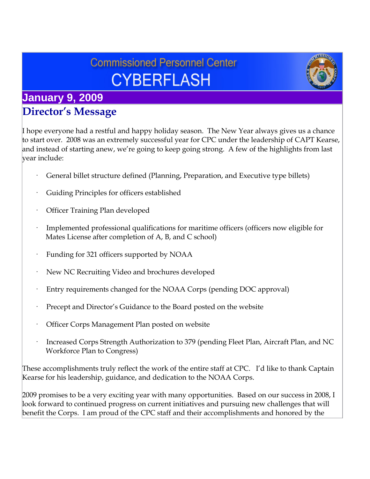# **Commissioned Personnel Center CYBERFLASH**



# **January 9, 2009 Director's Message**

I hope everyone had a restful and happy holiday season. The New Year always gives us a chance to start over. 2008 was an extremely successful year for CPC under the leadership of CAPT Kearse, and instead of starting anew, we're going to keep going strong. A few of the highlights from last year include:

- General billet structure defined (Planning, Preparation, and Executive type billets)
- Guiding Principles for officers established
- Officer Training Plan developed
- · Implemented professional qualifications for maritime officers (officers now eligible for Mates License after completion of A, B, and C school)
- Funding for 321 officers supported by NOAA
- New NC Recruiting Video and brochures developed
- Entry requirements changed for the NOAA Corps (pending DOC approval)
- Precept and Director's Guidance to the Board posted on the website
- · Officer Corps Management Plan posted on website
- Increased Corps Strength Authorization to 379 (pending Fleet Plan, Aircraft Plan, and NC Workforce Plan to Congress)

These accomplishments truly reflect the work of the entire staff at CPC. I'd like to thank Captain Kearse for his leadership, guidance, and dedication to the NOAA Corps.

2009 promises to be a very exciting year with many opportunities. Based on our success in 2008, I look forward to continued progress on current initiatives and pursuing new challenges that will benefit the Corps. I am proud of the CPC staff and their accomplishments and honored by the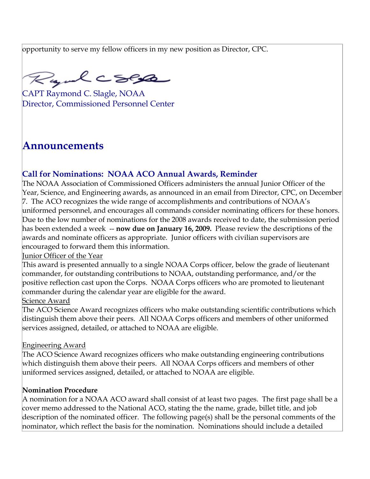opportunity to serve my fellow officers in my new position as Director, CPC.

Rayul CSPA

CAPT Raymond C. Slagle, NOAA Director, Commissioned Personnel Center

# **Announcements**

## **Call for Nominations: NOAA ACO Annual Awards, Reminder**

The NOAA Association of Commissioned Officers administers the annual Junior Officer of the Year, Science, and Engineering awards, as announced in an email from Director, CPC, on December 7. The ACO recognizes the wide range of accomplishments and contributions of NOAA's uniformed personnel, and encourages all commands consider nominating officers for these honors. Due to the low number of nominations for the 2008 awards received to date, the submission period has been extended a week -- **now due on January 16, 2009.** Please review the descriptions of the awards and nominate officers as appropriate. Junior officers with civilian supervisors are encouraged to forward them this information.

#### Junior Officer of the Year

This award is presented annually to a single NOAA Corps officer, below the grade of lieutenant commander, for outstanding contributions to NOAA, outstanding performance, and/or the positive reflection cast upon the Corps. NOAA Corps officers who are promoted to lieutenant commander during the calendar year are eligible for the award. Science Award

#### The ACO Science Award recognizes officers who make outstanding scientific contributions which distinguish them above their peers. All NOAA Corps officers and members of other uniformed services assigned, detailed, or attached to NOAA are eligible.

#### Engineering Award

The ACO Science Award recognizes officers who make outstanding engineering contributions which distinguish them above their peers. All NOAA Corps officers and members of other uniformed services assigned, detailed, or attached to NOAA are eligible.

#### **Nomination Procedure**

A nomination for a NOAA ACO award shall consist of at least two pages. The first page shall be a cover memo addressed to the National ACO, stating the the name, grade, billet title, and job description of the nominated officer. The following page(s) shall be the personal comments of the nominator, which reflect the basis for the nomination. Nominations should include a detailed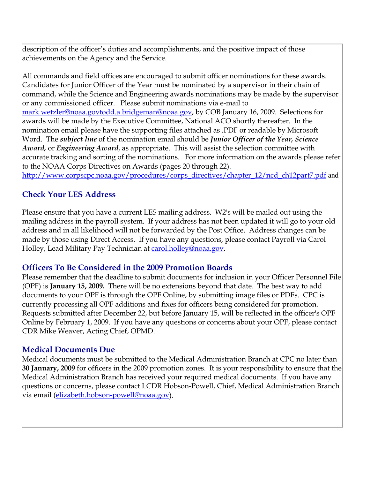description of the officer's duties and accomplishments, and the positive impact of those achievements on the Agency and the Service.

All commands and field offices are encouraged to submit officer nominations for these awards. Candidates for Junior Officer of the Year must be nominated by a supervisor in their chain of command, while the Science and Engineering awards nominations may be made by the supervisor or any commissioned officer. Please submit nominations via e-mail to [mark.wetzler@noaa.gov](mailto:Eric.Berkowitz@noaa.gov)[todd.a.bridgeman@noaa.gov,](mailto:todd.a.bridgeman@noaa.gov) by COB January 16, 2009. Selections for awards will be made by the Executive Committee, National ACO shortly thereafter. In the nomination email please have the supporting files attached as .PDF or readable by Microsoft Word. The *subject line* of the nomination email should be *Junior Officer of the Year, Science Award,* or *Engineering Award*, as appropriate. This will assist the selection committee with accurate tracking and sorting of the nominations. For more information on the awards please refer to the NOAA Corps Directives on Awards (pages 20 through 22).

[http://www.corpscpc.noaa.gov/procedures/corps\\_directives/chapter\\_12/ncd\\_ch12part7.pdf](http://www.corpscpc.noaa.gov/procedures/corps_directives/chapter_12/ncd_ch12part7.pdf) and

### **Check Your LES Address**

Please ensure that you have a current LES mailing address. W2's will be mailed out using the mailing address in the payroll system. If your address has not been updated it will go to your old address and in all likelihood will not be forwarded by the Post Office. Address changes can be made by those using Direct Access. If you have any questions, please contact Payroll via Carol Holley, Lead Military Pay Technician at [carol.holley@noaa.gov](mailto:carol.holley@noaa.gov).

#### **Officers To Be Considered in the 2009 Promotion Boards**

Please remember that the deadline to submit documents for inclusion in your Officer Personnel File (OPF) is **January 15, 2009.** There will be no extensions beyond that date. The best way to add documents to your OPF is through the OPF Online, by submitting image files or PDFs. CPC is currently processing all OPF additions and fixes for officers being considered for promotion. Requests submitted after December 22, but before January 15, will be reflected in the officer's OPF Online by February 1, 2009. If you have any questions or concerns about your OPF, please contact CDR Mike Weaver, Acting Chief, OPMD.

### **Medical Documents Due**

Medical documents must be submitted to the Medical Administration Branch at CPC no later than **30 January, 2009** for officers in the 2009 promotion zones. It is your responsibility to ensure that the Medical Administration Branch has received your required medical documents. If you have any questions or concerns, please contact LCDR Hobson-Powell, Chief, Medical Administration Branch via email [\(elizabeth.hobson-powell@noaa.gov](mailto:elizabeth.hobson-powell@noaa.gov)).